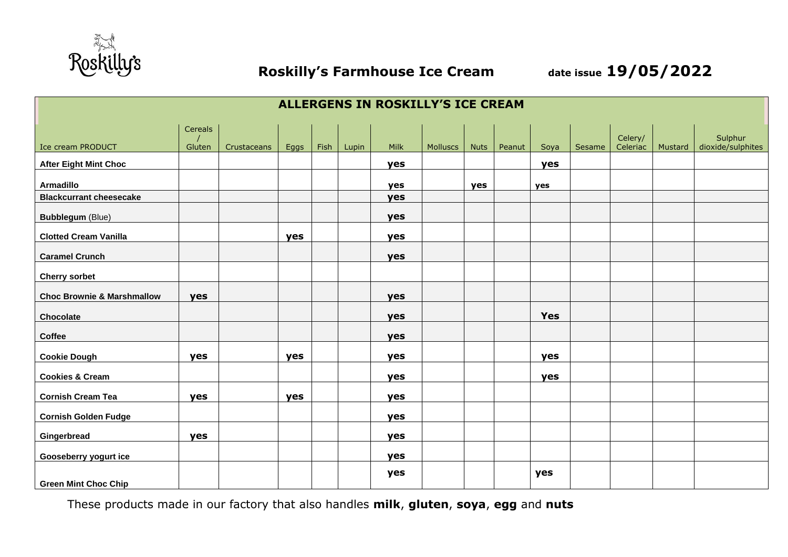

| <b>ALLERGENS IN ROSKILLY'S ICE CREAM</b> |         |             |      |      |       |      |          |     |               |            |        |          |         |                   |
|------------------------------------------|---------|-------------|------|------|-------|------|----------|-----|---------------|------------|--------|----------|---------|-------------------|
|                                          | Cereals |             |      |      |       |      |          |     |               |            |        | Celery/  |         | Sulphur           |
| Ice cream PRODUCT                        | Gluten  | Crustaceans | Eggs | Fish | Lupin | Milk | Molluscs |     | Nuts   Peanut | Soya       | Sesame | Celeriac | Mustard | dioxide/sulphites |
| <b>After Eight Mint Choc</b>             |         |             |      |      |       | yes  |          |     |               | yes        |        |          |         |                   |
| <b>Armadillo</b>                         |         |             |      |      |       | yes  |          | yes |               | yes        |        |          |         |                   |
| <b>Blackcurrant cheesecake</b>           |         |             |      |      |       | yes  |          |     |               |            |        |          |         |                   |
| <b>Bubblegum (Blue)</b>                  |         |             |      |      |       | yes  |          |     |               |            |        |          |         |                   |
| <b>Clotted Cream Vanilla</b>             |         |             | yes  |      |       | yes  |          |     |               |            |        |          |         |                   |
| <b>Caramel Crunch</b>                    |         |             |      |      |       | yes  |          |     |               |            |        |          |         |                   |
| <b>Cherry sorbet</b>                     |         |             |      |      |       |      |          |     |               |            |        |          |         |                   |
| <b>Choc Brownie &amp; Marshmallow</b>    | yes     |             |      |      |       | yes  |          |     |               |            |        |          |         |                   |
| Chocolate                                |         |             |      |      |       | yes  |          |     |               | <b>Yes</b> |        |          |         |                   |
| Coffee                                   |         |             |      |      |       | yes  |          |     |               |            |        |          |         |                   |
| <b>Cookie Dough</b>                      | yes     |             | yes  |      |       | yes  |          |     |               | yes        |        |          |         |                   |
| <b>Cookies &amp; Cream</b>               |         |             |      |      |       | yes  |          |     |               | yes        |        |          |         |                   |
| <b>Cornish Cream Tea</b>                 | yes     |             | yes  |      |       | yes  |          |     |               |            |        |          |         |                   |
| <b>Cornish Golden Fudge</b>              |         |             |      |      |       | yes  |          |     |               |            |        |          |         |                   |
| Gingerbread                              | yes     |             |      |      |       | yes  |          |     |               |            |        |          |         |                   |
| Gooseberry yogurt ice                    |         |             |      |      |       | yes  |          |     |               |            |        |          |         |                   |
| <b>Green Mint Choc Chip</b>              |         |             |      |      |       | yes  |          |     |               | yes        |        |          |         |                   |

These products made in our factory that also handles **milk**, **gluten**, **soya**, **egg** and **nuts**